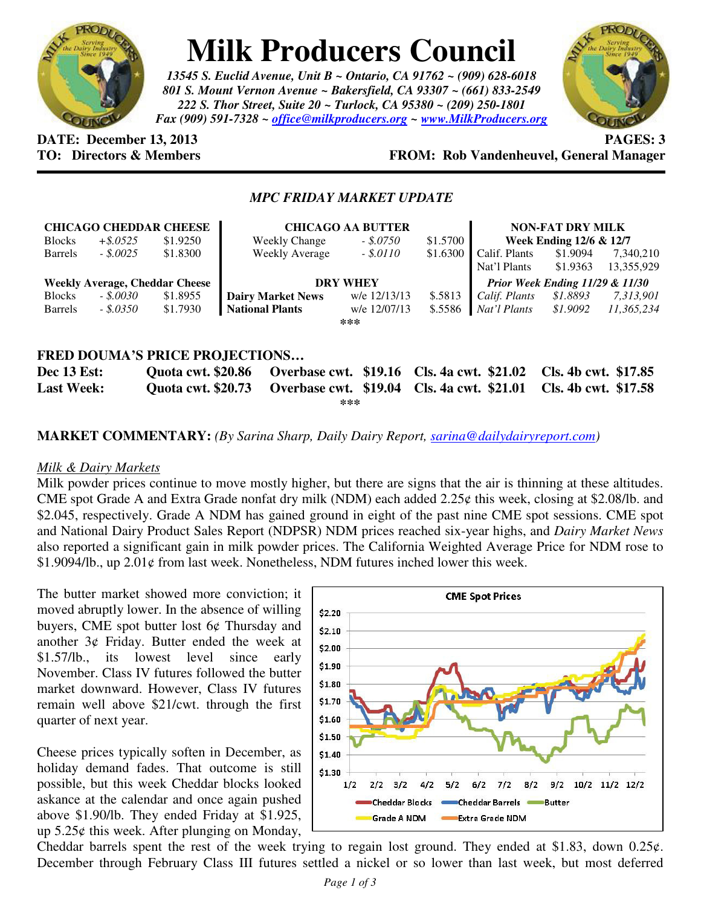

# **Milk Producers Council**

*13545 S. Euclid Avenue, Unit B ~ Ontario, CA 91762 ~ (909) 628-6018 801 S. Mount Vernon Avenue ~ Bakersfield, CA 93307 ~ (661) 833-2549 222 S. Thor Street, Suite 20 ~ Turlock, CA 95380 ~ (209) 250-1801 Fax (909) 591-7328 ~ office@milkproducers.org ~ www.MilkProducers.org*



**DATE: December 13, 2013 PAGES: 3** 

## **TO: Directors & Members FROM: Rob Vandenheuvel, General Manager**

#### *MPC FRIDAY MARKET UPDATE*

|                                       |             | <b>CHICAGO CHEDDAR CHEESE</b>         |  | <b>CHICAGO AA BUTTER</b> |              |                                            |                         | <b>NON-FAT DRY MILK</b>                    |            |  |
|---------------------------------------|-------------|---------------------------------------|--|--------------------------|--------------|--------------------------------------------|-------------------------|--------------------------------------------|------------|--|
| <b>Blocks</b>                         | $+$ \$.0525 | \$1.9250                              |  | <b>Weekly Change</b>     | $-.50750$    | \$1.5700                                   | Week Ending 12/6 & 12/7 |                                            |            |  |
| <b>Barrels</b>                        | $-.50025$   | \$1.8300                              |  | <b>Weekly Average</b>    | $-.5.0110$   | \$1.6300                                   | Calif. Plants           | \$1.9094                                   | 7,340,210  |  |
|                                       |             |                                       |  |                          |              |                                            | Nat'l Plants            | \$1.9363                                   | 13,355,929 |  |
|                                       |             | <b>Weekly Average, Cheddar Cheese</b> |  | <b>DRY WHEY</b>          |              |                                            |                         | <b>Prior Week Ending 11/29 &amp; 11/30</b> |            |  |
| <b>Blocks</b>                         | $-.50030$   | \$1.8955                              |  | <b>Dairy Market News</b> | w/e 12/13/13 | \$.5813                                    | Calif. Plants           | \$1.8893                                   | 7,313,901  |  |
| <b>Barrels</b>                        | - \$.0350   | \$1.7930                              |  | <b>National Plants</b>   | w/e 12/07/13 | \$.5586                                    | Nat'l Plants            | \$1.9092                                   | 11,365,234 |  |
| ***                                   |             |                                       |  |                          |              |                                            |                         |                                            |            |  |
|                                       |             |                                       |  |                          |              |                                            |                         |                                            |            |  |
| <b>FRED DOUMA'S PRICE PROJECTIONS</b> |             |                                       |  |                          |              |                                            |                         |                                            |            |  |
| <b>Dec 13 Est:</b>                    |             | <b>Quota cwt. \$20.86</b>             |  |                          |              | Overbase cwt. \$19.16 Cls. 4a cwt. \$21.02 |                         | Cls. 4b cwt. \$17.85                       |            |  |
| <b>Last Week:</b>                     |             | <b>Ouota cwt. \$20.73</b>             |  |                          |              | Overbase cwt. \$19.04 Cls. 4a cwt. \$21.01 |                         | Cls. 4b cwt. \$17.58                       |            |  |

**\*\*\*** 

**MARKET COMMENTARY:** *(By Sarina Sharp, Daily Dairy Report, sarina@dailydairyreport.com)* 

#### *Milk & Dairy Markets*

Milk powder prices continue to move mostly higher, but there are signs that the air is thinning at these altitudes. CME spot Grade A and Extra Grade nonfat dry milk (NDM) each added 2.25¢ this week, closing at \$2.08/lb. and \$2.045, respectively. Grade A NDM has gained ground in eight of the past nine CME spot sessions. CME spot and National Dairy Product Sales Report (NDPSR) NDM prices reached six-year highs, and *Dairy Market News* also reported a significant gain in milk powder prices. The California Weighted Average Price for NDM rose to  $$1.9094/lb$ ., up  $2.01¢$  from last week. Nonetheless, NDM futures inched lower this week.

The butter market showed more conviction; it moved abruptly lower. In the absence of willing buyers, CME spot butter lost 6¢ Thursday and another 3¢ Friday. Butter ended the week at \$1.57/lb., its lowest level since early November. Class IV futures followed the butter market downward. However, Class IV futures remain well above \$21/cwt. through the first quarter of next year.

Cheese prices typically soften in December, as holiday demand fades. That outcome is still possible, but this week Cheddar blocks looked askance at the calendar and once again pushed above \$1.90/lb. They ended Friday at \$1.925, up 5.25¢ this week. After plunging on Monday,



Cheddar barrels spent the rest of the week trying to regain lost ground. They ended at \$1.83, down  $0.25\varphi$ . December through February Class III futures settled a nickel or so lower than last week, but most deferred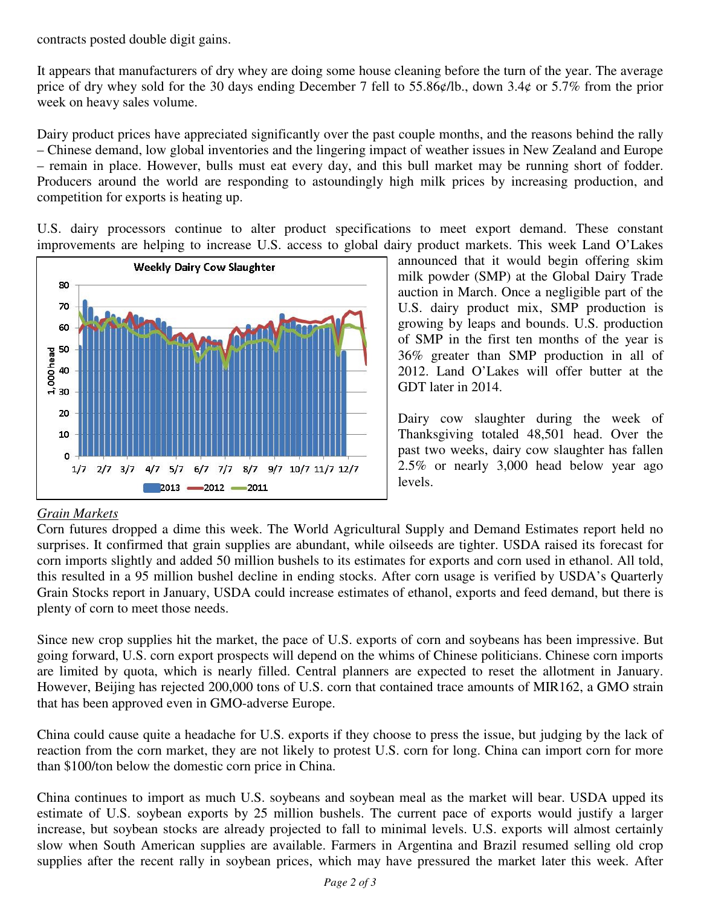contracts posted double digit gains.

It appears that manufacturers of dry whey are doing some house cleaning before the turn of the year. The average price of dry whey sold for the 30 days ending December 7 fell to 55.86¢/lb., down 3.4¢ or 5.7% from the prior week on heavy sales volume.

Dairy product prices have appreciated significantly over the past couple months, and the reasons behind the rally – Chinese demand, low global inventories and the lingering impact of weather issues in New Zealand and Europe – remain in place. However, bulls must eat every day, and this bull market may be running short of fodder. Producers around the world are responding to astoundingly high milk prices by increasing production, and competition for exports is heating up.

U.S. dairy processors continue to alter product specifications to meet export demand. These constant improvements are helping to increase U.S. access to global dairy product markets. This week Land O'Lakes



announced that it would begin offering skim milk powder (SMP) at the Global Dairy Trade auction in March. Once a negligible part of the U.S. dairy product mix, SMP production is growing by leaps and bounds. U.S. production of SMP in the first ten months of the year is 36% greater than SMP production in all of 2012. Land O'Lakes will offer butter at the GDT later in 2014.

Dairy cow slaughter during the week of Thanksgiving totaled 48,501 head. Over the past two weeks, dairy cow slaughter has fallen 2.5% or nearly 3,000 head below year ago levels.

### *Grain Markets*

Corn futures dropped a dime this week. The World Agricultural Supply and Demand Estimates report held no surprises. It confirmed that grain supplies are abundant, while oilseeds are tighter. USDA raised its forecast for corn imports slightly and added 50 million bushels to its estimates for exports and corn used in ethanol. All told, this resulted in a 95 million bushel decline in ending stocks. After corn usage is verified by USDA's Quarterly Grain Stocks report in January, USDA could increase estimates of ethanol, exports and feed demand, but there is plenty of corn to meet those needs.

Since new crop supplies hit the market, the pace of U.S. exports of corn and soybeans has been impressive. But going forward, U.S. corn export prospects will depend on the whims of Chinese politicians. Chinese corn imports are limited by quota, which is nearly filled. Central planners are expected to reset the allotment in January. However, Beijing has rejected 200,000 tons of U.S. corn that contained trace amounts of MIR162, a GMO strain that has been approved even in GMO-adverse Europe.

China could cause quite a headache for U.S. exports if they choose to press the issue, but judging by the lack of reaction from the corn market, they are not likely to protest U.S. corn for long. China can import corn for more than \$100/ton below the domestic corn price in China.

China continues to import as much U.S. soybeans and soybean meal as the market will bear. USDA upped its estimate of U.S. soybean exports by 25 million bushels. The current pace of exports would justify a larger increase, but soybean stocks are already projected to fall to minimal levels. U.S. exports will almost certainly slow when South American supplies are available. Farmers in Argentina and Brazil resumed selling old crop supplies after the recent rally in soybean prices, which may have pressured the market later this week. After